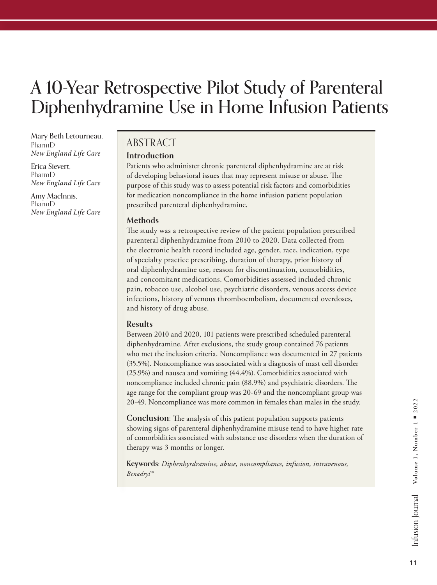# A 10-Year Retrospective Pilot Study of Parenteral Diphenhydramine Use in Home Infusion Patients

Mary Beth Letourneau, PharmD *New England Life Care*

Erica Sievert, PharmD *New England Life Care*

Amy MacInnis, PharmD *New England Life Care*

### ABSTRACT

### **Introduction**

Patients who administer chronic parenteral diphenhydramine are at risk of developing behavioral issues that may represent misuse or abuse. The purpose of this study was to assess potential risk factors and comorbidities for medication noncompliance in the home infusion patient population prescribed parenteral diphenhydramine.

### **Methods**

The study was a retrospective review of the patient population prescribed parenteral diphenhydramine from 2010 to 2020. Data collected from the electronic health record included age, gender, race, indication, type of specialty practice prescribing, duration of therapy, prior history of oral diphenhydramine use, reason for discontinuation, comorbidities, and concomitant medications. Comorbidities assessed included chronic pain, tobacco use, alcohol use, psychiatric disorders, venous access device infections, history of venous thromboembolism, documented overdoses, and history of drug abuse.

### **Results**

Between 2010 and 2020, 101 patients were prescribed scheduled parenteral diphenhydramine. After exclusions, the study group contained 76 patients who met the inclusion criteria. Noncompliance was documented in 27 patients (35.5%). Noncompliance was associated with a diagnosis of mast cell disorder (25.9%) and nausea and vomiting (44.4%). Comorbidities associated with noncompliance included chronic pain (88.9%) and psychiatric disorders. The age range for the compliant group was 20-69 and the noncompliant group was 20-49. Noncompliance was more common in females than males in the study.

**Conclusion:** The analysis of this patient population supports patients showing signs of parenteral diphenhydramine misuse tend to have higher rate of comorbidities associated with substance use disorders when the duration of therapy was 3 months or longer.

**Keywords:** *Diphenhyrdramine, abuse, noncompliance, infusion, intravenous, Benadryl®*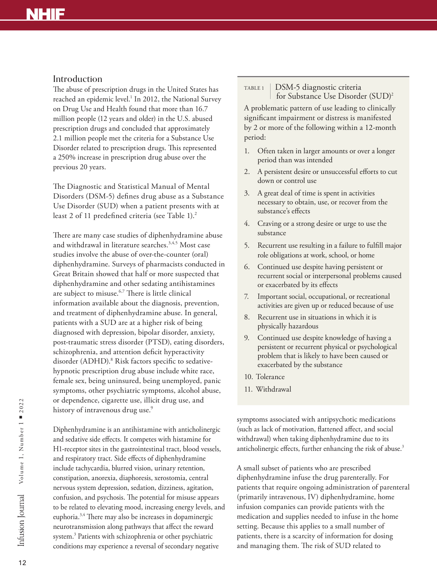# **NHIF**

### Introduction

The abuse of prescription drugs in the United States has reached an epidemic level.<sup>1</sup> In 2012, the National Survey on Drug Use and Health found that more than 16.7 million people (12 years and older) in the U.S. abused prescription drugs and concluded that approximately 2.1 million people met the criteria for a Substance Use Disorder related to prescription drugs. This represented a 250% increase in prescription drug abuse over the previous 20 years.

The Diagnostic and Statistical Manual of Mental Disorders (DSM-5) defines drug abuse as a Substance Use Disorder (SUD) when a patient presents with at least 2 of 11 predefined criteria (see Table 1).<sup>2</sup>

There are many case studies of diphenhydramine abuse and withdrawal in literature searches.<sup>3,4,5</sup> Most case studies involve the abuse of over-the-counter (oral) diphenhydramine. Surveys of pharmacists conducted in Great Britain showed that half or more suspected that diphenhydramine and other sedating antihistamines are subject to misuse.<sup>6,7</sup> There is little clinical information available about the diagnosis, prevention, and treatment of diphenhydramine abuse. In general, patients with a SUD are at a higher risk of being diagnosed with depression, bipolar disorder, anxiety, post-traumatic stress disorder (PTSD), eating disorders, schizophrenia, and attention deficit hyperactivity disorder (ADHD).<sup>8</sup> Risk factors specific to sedativehypnotic prescription drug abuse include white race, female sex, being uninsured, being unemployed, panic symptoms, other psychiatric symptoms, alcohol abuse, or dependence, cigarette use, illicit drug use, and history of intravenous drug use.<sup>9</sup>

Diphenhydramine is an antihistamine with anticholinergic and sedative side effects. It competes with histamine for H1-receptor sites in the gastrointestinal tract, blood vessels, and respiratory tract. Side effects of diphenhydramine include tachycardia, blurred vision, urinary retention, constipation, anorexia, diaphoresis, xerostomia, central nervous system depression, sedation, dizziness, agitation, confusion, and psychosis. The potential for misuse appears to be related to elevating mood, increasing energy levels, and euphoria.3,4 There may also be increases in dopaminergic neurotransmission along pathways that affect the reward system.<sup>3</sup> Patients with schizophrenia or other psychiatric conditions may experience a reversal of secondary negative

#### TABLE 1 DSM-5 diagnostic criteria for Substance Use Disorder (SUD)2

A problematic pattern of use leading to clinically significant impairment or distress is manifested by 2 or more of the following within a 12-month period:

- 1. Often taken in larger amounts or over a longer period than was intended
- 2. A persistent desire or unsuccessful efforts to cut down or control use
- 3. A great deal of time is spent in activities necessary to obtain, use, or recover from the substance's effects
- 4. Craving or a strong desire or urge to use the substance
- 5. Recurrent use resulting in a failure to fulfill major role obligations at work, school, or home
- 6. Continued use despite having persistent or recurrent social or interpersonal problems caused or exacerbated by its effects
- 7. Important social, occupational, or recreational activities are given up or reduced because of use
- 8. Recurrent use in situations in which it is physically hazardous
- 9. Continued use despite knowledge of having a persistent or recurrent physical or psychological problem that is likely to have been caused or exacerbated by the substance
- 10. Tolerance
- 11. Withdrawal

symptoms associated with antipsychotic medications (such as lack of motivation, flattened affect, and social withdrawal) when taking diphenhydramine due to its anticholinergic effects, further enhancing the risk of abuse.<sup>3</sup>

A small subset of patients who are prescribed diphenhydramine infuse the drug parenterally. For patients that require ongoing administration of parenteral (primarily intravenous, IV) diphenhydramine, home infusion companies can provide patients with the medication and supplies needed to infuse in the home setting. Because this applies to a small number of patients, there is a scarcity of information for dosing and managing them. The risk of SUD related to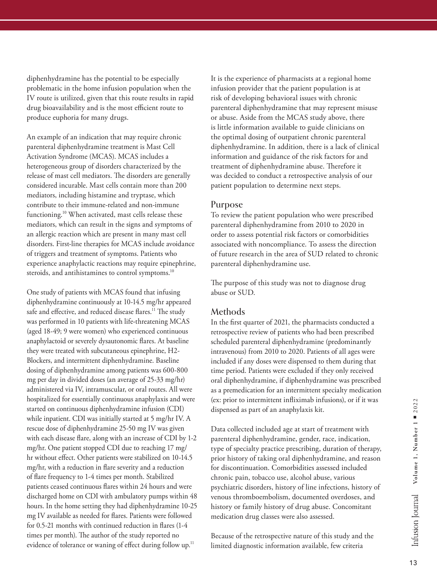diphenhydramine has the potential to be especially problematic in the home infusion population when the IV route is utilized, given that this route results in rapid drug bioavailability and is the most efficient route to produce euphoria for many drugs.

An example of an indication that may require chronic parenteral diphenhydramine treatment is Mast Cell Activation Syndrome (MCAS). MCAS includes a heterogeneous group of disorders characterized by the release of mast cell mediators. The disorders are generally considered incurable. Mast cells contain more than 200 mediators, including histamine and tryptase, which contribute to their immune-related and non-immune functioning.<sup>10</sup> When activated, mast cells release these mediators, which can result in the signs and symptoms of an allergic reaction which are present in many mast cell disorders. First-line therapies for MCAS include avoidance of triggers and treatment of symptoms. Patients who experience anaphylactic reactions may require epinephrine, steroids, and antihistamines to control symptoms.<sup>10</sup>

One study of patients with MCAS found that infusing diphenhydramine continuously at 10-14.5 mg/hr appeared safe and effective, and reduced disease flares.<sup>11</sup> The study was performed in 10 patients with life-threatening MCAS (aged 18-49; 9 were women) who experienced continuous anaphylactoid or severely dysautonomic flares. At baseline they were treated with subcutaneous epinephrine, H2- Blockers, and intermittent diphenhydramine. Baseline dosing of diphenhydramine among patients was 600-800 mg per day in divided doses (an average of 25-33 mg/hr) administered via IV, intramuscular, or oral routes. All were hospitalized for essentially continuous anaphylaxis and were started on continuous diphenhydramine infusion (CDI) while inpatient. CDI was initially started at 5 mg/hr IV. A rescue dose of diphenhydramine 25-50 mg IV was given with each disease flare, along with an increase of CDI by 1-2 mg/hr. One patient stopped CDI due to reaching 17 mg/ hr without effect. Other patients were stabilized on 10-14.5 mg/hr, with a reduction in flare severity and a reduction of flare frequency to 1-4 times per month. Stabilized patients ceased continuous flares within 24 hours and were discharged home on CDI with ambulatory pumps within 48 hours. In the home setting they had diphenhydramine 10-25 mg IV available as needed for flares. Patients were followed for 0.5-21 months with continued reduction in flares (1-4 times per month). The author of the study reported no evidence of tolerance or waning of effect during follow up.<sup>11</sup>

It is the experience of pharmacists at a regional home infusion provider that the patient population is at risk of developing behavioral issues with chronic parenteral diphenhydramine that may represent misuse or abuse. Aside from the MCAS study above, there is little information available to guide clinicians on the optimal dosing of outpatient chronic parenteral diphenhydramine. In addition, there is a lack of clinical information and guidance of the risk factors for and treatment of diphenhydramine abuse. Therefore it was decided to conduct a retrospective analysis of our patient population to determine next steps.

### Purpose

To review the patient population who were prescribed parenteral diphenhydramine from 2010 to 2020 in order to assess potential risk factors or comorbidities associated with noncompliance. To assess the direction of future research in the area of SUD related to chronic parenteral diphenhydramine use.

The purpose of this study was not to diagnose drug abuse or SUD.

### Methods

In the first quarter of 2021, the pharmacists conducted a retrospective review of patients who had been prescribed scheduled parenteral diphenhydramine (predominantly intravenous) from 2010 to 2020. Patients of all ages were included if any doses were dispensed to them during that time period. Patients were excluded if they only received oral diphenhydramine, if diphenhydramine was prescribed as a premedication for an intermittent specialty medication (ex: prior to intermittent infliximab infusions), or if it was dispensed as part of an anaphylaxis kit.

Data collected included age at start of treatment with parenteral diphenhydramine, gender, race, indication, type of specialty practice prescribing, duration of therapy, prior history of taking oral diphenhydramine, and reason for discontinuation. Comorbidities assessed included chronic pain, tobacco use, alcohol abuse, various psychiatric disorders, history of line infections, history of venous thromboembolism, documented overdoses, and history or family history of drug abuse. Concomitant medication drug classes were also assessed.

Because of the retrospective nature of this study and the limited diagnostic information available, few criteria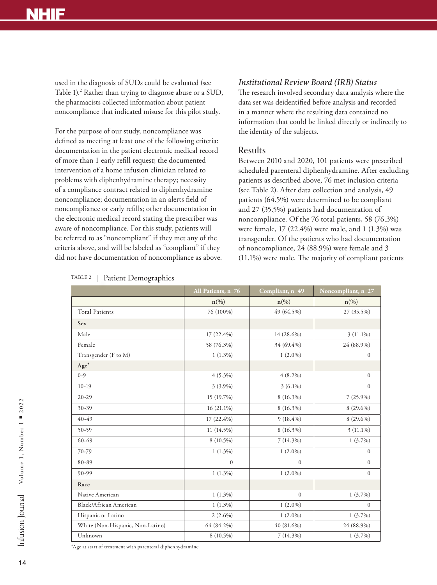# **NHIF**

used in the diagnosis of SUDs could be evaluated (see Table 1).<sup>2</sup> Rather than trying to diagnose abuse or a SUD, the pharmacists collected information about patient noncompliance that indicated misuse for this pilot study.

For the purpose of our study, noncompliance was defined as meeting at least one of the following criteria: documentation in the patient electronic medical record of more than 1 early refill request; the documented intervention of a home infusion clinician related to problems with diphenhydramine therapy; necessity of a compliance contract related to diphenhydramine noncompliance; documentation in an alerts field of noncompliance or early refills; other documentation in the electronic medical record stating the prescriber was aware of noncompliance. For this study, patients will be referred to as "noncompliant" if they met any of the criteria above, and will be labeled as "compliant" if they did not have documentation of noncompliance as above.

#### *Institutional Review Board (IRB) Status*

The research involved secondary data analysis where the data set was deidentified before analysis and recorded in a manner where the resulting data contained no information that could be linked directly or indirectly to the identity of the subjects.

### Results

Between 2010 and 2020, 101 patients were prescribed scheduled parenteral diphenhydramine. After excluding patients as described above, 76 met inclusion criteria (see Table 2). After data collection and analysis, 49 patients (64.5%) were determined to be compliant and 27 (35.5%) patients had documentation of noncompliance. Of the 76 total patients, 58 (76.3%) were female, 17 (22.4%) were male, and 1 (1.3%) was transgender. Of the patients who had documentation of noncompliance, 24 (88.9%) were female and 3 (11.1%) were male. The majority of compliant patients

|                                  | All Patients, n=76 | Compliant, n=49    | Noncompliant, n=27 |
|----------------------------------|--------------------|--------------------|--------------------|
|                                  | $n\left(\%\right)$ | $n\left(\%\right)$ | $n\left(\%\right)$ |
| <b>Total Patients</b>            | 76 (100%)          | 49 (64.5%)         | 27 (35.5%)         |
| Sex                              |                    |                    |                    |
| Male                             | 17 (22.4%)         | 14 (28.6%)         | $3(11.1\%)$        |
| Female                           | 58 (76.3%)         | 34 (69.4%)         | 24 (88.9%)         |
| Transgender (F to M)             | $1(1.3\%)$         | $1(2.0\%)$         | $\overline{0}$     |
| $Age*$                           |                    |                    |                    |
| $0 - 9$                          | $4(5.3\%)$         | $4(8.2\%)$         | $\overline{0}$     |
| $10-19$                          | $3(3.9\%)$         | $3(6.1\%)$         | $\overline{0}$     |
| $20 - 29$                        | 15 (19.7%)         | 8 (16.3%)          | $7(25.9\%)$        |
| 30-39                            | $16(21.1\%)$       | 8 (16.3%)          | 8 (29.6%)          |
| 40-49                            | 17 (22.4%)         | $9(18.4\%)$        | 8 (29.6%)          |
| 50-59                            | 11 (14.5%)         | 8 (16.3%)          | $3(11.1\%)$        |
| $60 - 69$                        | 8 (10.5%)          | $7(14.3\%)$        | $1(3.7\%)$         |
| 70-79                            | $1(1.3\%)$         | $1(2.0\%)$         | $\Omega$           |
| 80-89                            | $\overline{0}$     | $\mathbf{0}$       | $\overline{0}$     |
| 90-99                            | $1(1.3\%)$         | $1(2.0\%)$         | $\overline{0}$     |
| Race                             |                    |                    |                    |
| Native American                  | $1(1.3\%)$         | $\overline{0}$     | $1(3.7\%)$         |
| Black/African American           | $1(1.3\%)$         | $1(2.0\%)$         | $\Omega$           |
| Hispanic or Latino               | $2(2.6\%)$         | $1(2.0\%)$         | $1(3.7\%)$         |
| White (Non-Hispanic, Non-Latino) | 64 (84.2%)         | 40 (81.6%)         | 24 (88.9%)         |
| Unknown                          | 8 (10.5%)          | $7(14.3\%)$        | $1(3.7\%)$         |

TABLE 2 | Patient Demographics

\*Age at start of treatment with parenteral diphenhydramine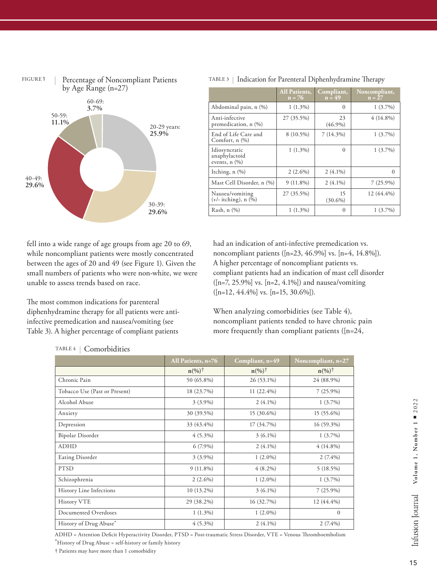

#### TABLE 3 | Indication for Parenteral Diphenhydramine Therapy

|                                                      | <b>All Patients,</b><br>$n = 76$ | Compliant,<br>$n = 49$ | Noncompliant,<br>$n = 27$ |
|------------------------------------------------------|----------------------------------|------------------------|---------------------------|
| Abdominal pain, n (%)                                | $1(1.3\%)$                       | $\Omega$               | $1(3.7\%)$                |
| Anti-infective<br>premedication, n (%)               | 27 (35.5%)                       | 23<br>$(46.9\%)$       | $4(14.8\%)$               |
| End of Life Care and<br>Comfort, $n$ $(\%)$          | 8 (10.5%)                        | $7(14.3\%)$            | $1(3.7\%)$                |
| Idiosyncratic<br>anaphylactoid<br>events, $n$ $(\%)$ | $1(1.3\%)$                       | $\theta$               | $1(3.7\%)$                |
| Itching, $n$ $(\%)$                                  | $2(2.6\%)$                       | $2(4.1\%)$             | $\Omega$                  |
| Mast Cell Disorder, n (%)                            | $9(11.8\%)$                      | $2(4.1\%)$             | $7(25.9\%)$               |
| Nausea/vomiting<br>$(+/-$ itching), n $(\%)$         | 27 (35.5%)                       | 15<br>$(30.6\%)$       | 12 (44.4%)                |
| Rash, n (%)                                          | $1(1.3\%)$                       | $\theta$               | $1(3.7\%)$                |

had an indication of anti-infective premedication vs. noncompliant patients ( $[n=23, 46.9\%]$  vs.  $[n=4, 14.8\%]$ ). A higher percentage of noncompliant patients vs. compliant patients had an indication of mast cell disorder  $([n=7, 25.9\%]$  vs.  $[n=2, 4.1\%]$  and nausea/vomiting  $([n=12, 44.4\%]$  vs.  $[n=15, 30.6\%]$ .

The most common indications for parenteral diphenhydramine therapy for all patients were antiinfective premedication and nausea/vomiting (see Table 3). A higher percentage of compliant patients

fell into a wide range of age groups from age 20 to 69, while noncompliant patients were mostly concentrated between the ages of 20 and 49 (see Figure 1). Given the small numbers of patients who were non-white, we were

> When analyzing comorbidities (see Table 4), noncompliant patients tended to have chronic pain more frequently than compliant patients ([n=24,

|                               | All Patients, n=76 | Compliant, n=49   | Noncompliant, n=27 |
|-------------------------------|--------------------|-------------------|--------------------|
|                               | $n\frac{(\%)}{7}$  | $n\frac{(\%)}{7}$ | $n\frac{(\%)}{7}$  |
| Chronic Pain                  | 50 (65.8%)         | 26 (53.1%)        | 24 (88.9%)         |
| Tobacco Use (Past or Present) | 18 (23.7%)         | $11(22.4\%)$      | $7(25.9\%)$        |
| Alcohol Abuse                 | $3(3.9\%)$         | $2(4.1\%)$        | $1(3.7\%)$         |
| Anxiety                       | 30 (39.5%)         | 15 (30.6%)        | 15 (55.6%)         |
| Depression                    | 33 (43.4%)         | 17 (34.7%)        | $16(59.3\%)$       |
| <b>Bipolar Disorder</b>       | $4(5.3\%)$         | $3(6.1\%)$        | $1(3.7\%)$         |
| <b>ADHD</b>                   | $6(7.9\%)$         | $2(4.1\%)$        | $4(14.8\%)$        |
| <b>Eating Disorder</b>        | $3(3.9\%)$         | $1(2.0\%)$        | $2(7.4\%)$         |
| <b>PTSD</b>                   | $9(11.8\%)$        | $4(8.2\%)$        | 5(18.5%)           |
| Schizophrenia                 | $2(2.6\%)$         | $1(2.0\%)$        | $1(3.7\%)$         |
| History Line Infections       | $10(13.2\%)$       | $3(6.1\%)$        | $7(25.9\%)$        |
| History VTE                   | 29 (38.2%)         | 16 (32.7%)        | $12(44.4\%)$       |
| Documented Overdoses          | $1(1.3\%)$         | $1(2.0\%)$        | $\Omega$           |
| History of Drug Abuse*        | $4(5.3\%)$         | $2(4.1\%)$        | $2(7.4\%)$         |

ADHD = Attention Deficit Hyperactivity Disorder, PTSD = Post-traumatic Stress Disorder, VTE = Venous Thromboembolism \*History of Drug Abuse = self-history or family history

† Patients may have more than 1 comorbidity

### TABLE 4 Comorbidities

unable to assess trends based on race.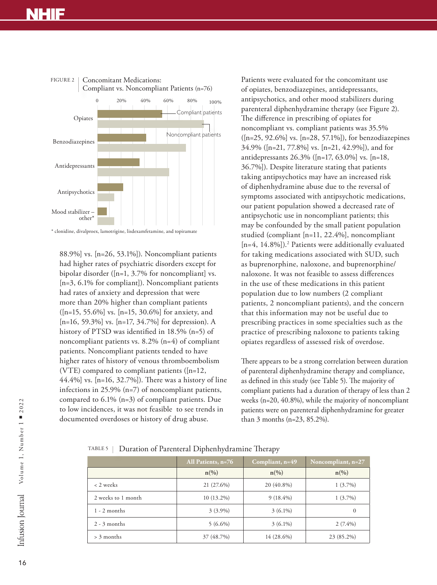# **NHIF**



\* clonidine, divalproex, lamotrigine, lisdexamfetamine, and topiramate

88.9%] vs. [n=26, 53.1%]). Noncompliant patients had higher rates of psychiatric disorders except for bipolar disorder ([n=1, 3.7% for noncompliant] vs. [n=3, 6.1% for compliant]). Noncompliant patients had rates of anxiety and depression that were more than 20% higher than compliant patients ([n=15, 55.6%] vs. [n=15, 30.6%] for anxiety, and [n=16, 59.3%] vs. [n=17, 34.7%] for depression). A history of PTSD was identified in 18.5% (n=5) of noncompliant patients vs. 8.2% (n=4) of compliant patients. Noncompliant patients tended to have higher rates of history of venous thromboembolism (VTE) compared to compliant patients ([n=12, 44.4%] vs. [n=16, 32.7%]). There was a history of line infections in 25.9% (n=7) of noncompliant patients, compared to 6.1% (n=3) of compliant patients. Due to low incidences, it was not feasible to see trends in documented overdoses or history of drug abuse.

Patients were evaluated for the concomitant use of opiates, benzodiazepines, antidepressants, antipsychotics, and other mood stabilizers during parenteral diphenhydramine therapy (see Figure 2). The difference in prescribing of opiates for noncompliant vs. compliant patients was 35.5% ([n=25, 92.6%] vs. [n=28, 57.1%]), for benzodiazepines 34.9% ([n=21, 77.8%] vs. [n=21, 42.9%]), and for antidepressants 26.3% ([n=17, 63.0%] vs. [n=18, 36.7%]). Despite literature stating that patients taking antipsychotics may have an increased risk of diphenhydramine abuse due to the reversal of symptoms associated with antipsychotic medications, our patient population showed a decreased rate of antipsychotic use in noncompliant patients; this may be confounded by the small patient population studied (compliant [n=11, 22.4%], noncompliant [n=4, 14.8%]).<sup>2</sup> Patients were additionally evaluated for taking medications associated with SUD, such as buprenorphine, naloxone, and buprenorphine/ naloxone. It was not feasible to assess differences in the use of these medications in this patient population due to low numbers (2 compliant patients, 2 noncompliant patients), and the concern that this information may not be useful due to prescribing practices in some specialties such as the practice of prescribing naloxone to patients taking opiates regardless of assessed risk of overdose.

There appears to be a strong correlation between duration of parenteral diphenhydramine therapy and compliance, as defined in this study (see Table 5). The majority of compliant patients had a duration of therapy of less than 2 weeks (n=20, 40.8%), while the majority of noncompliant patients were on parenteral diphenhydramine for greater than 3 months (n=23, 85.2%).

TABLE 5 Duration of Parenteral Diphenhydramine Therapy

|                    | All Patients, n=76 | Compliant, n=49 | Noncompliant, $n=27$ |
|--------------------|--------------------|-----------------|----------------------|
|                    | $n\binom{0}{0}$    | $n\binom{0}{0}$ | $n\binom{0}{0}$      |
| < 2 weeks          | 21 (27.6%)         | 20 (40.8%)      | $1(3.7\%)$           |
| 2 weeks to 1 month | $10(13.2\%)$       | $9(18.4\%)$     | $1(3.7\%)$           |
| $1 - 2$ months     | $3(3.9\%)$         | $3(6.1\%)$      | $\Omega$             |
| $2 - 3$ months     | $5(6.6\%)$         | $3(6.1\%)$      | $2(7.4\%)$           |
| $> 3$ months       | 37 (48.7%)         | 14 (28.6%)      | 23 (85.2%)           |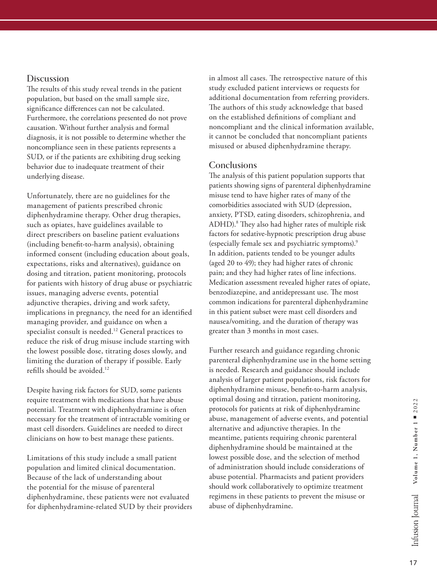### **Discussion**

The results of this study reveal trends in the patient population, but based on the small sample size, significance differences can not be calculated. Furthermore, the correlations presented do not prove causation. Without further analysis and formal diagnosis, it is not possible to determine whether the noncompliance seen in these patients represents a SUD, or if the patients are exhibiting drug seeking behavior due to inadequate treatment of their underlying disease.

Unfortunately, there are no guidelines for the management of patients prescribed chronic diphenhydramine therapy. Other drug therapies, such as opiates, have guidelines available to direct prescribers on baseline patient evaluations (including benefit-to-harm analysis), obtaining informed consent (including education about goals, expectations, risks and alternatives), guidance on dosing and titration, patient monitoring, protocols for patients with history of drug abuse or psychiatric issues, managing adverse events, potential adjunctive therapies, driving and work safety, implications in pregnancy, the need for an identified managing provider, and guidance on when a specialist consult is needed.12 General practices to reduce the risk of drug misuse include starting with the lowest possible dose, titrating doses slowly, and limiting the duration of therapy if possible. Early refills should be avoided.12

Despite having risk factors for SUD, some patients require treatment with medications that have abuse potential. Treatment with diphenhydramine is often necessary for the treatment of intractable vomiting or mast cell disorders. Guidelines are needed to direct clinicians on how to best manage these patients.

Limitations of this study include a small patient population and limited clinical documentation. Because of the lack of understanding about the potential for the misuse of parenteral diphenhydramine, these patients were not evaluated for diphenhydramine-related SUD by their providers in almost all cases. The retrospective nature of this study excluded patient interviews or requests for additional documentation from referring providers. The authors of this study acknowledge that based on the established definitions of compliant and noncompliant and the clinical information available, it cannot be concluded that noncompliant patients misused or abused diphenhydramine therapy.

### **Conclusions**

The analysis of this patient population supports that patients showing signs of parenteral diphenhydramine misuse tend to have higher rates of many of the comorbidities associated with SUD (depression, anxiety, PTSD, eating disorders, schizophrenia, and ADHD).8 They also had higher rates of multiple risk factors for sedative-hypnotic prescription drug abuse (especially female sex and psychiatric symptoms).9 In addition, patients tended to be younger adults (aged 20 to 49); they had higher rates of chronic pain; and they had higher rates of line infections. Medication assessment revealed higher rates of opiate, benzodiazepine, and antidepressant use. The most common indications for parenteral diphenhydramine in this patient subset were mast cell disorders and nausea/vomiting, and the duration of therapy was greater than 3 months in most cases.

Further research and guidance regarding chronic parenteral diphenhydramine use in the home setting is needed. Research and guidance should include analysis of larger patient populations, risk factors for diphenhydramine misuse, benefit-to-harm analysis, optimal dosing and titration, patient monitoring, protocols for patients at risk of diphenhydramine abuse, management of adverse events, and potential alternative and adjunctive therapies. In the meantime, patients requiring chronic parenteral diphenhydramine should be maintained at the lowest possible dose, and the selection of method of administration should include considerations of abuse potential. Pharmacists and patient providers should work collaboratively to optimize treatment regimens in these patients to prevent the misuse or abuse of diphenhydramine.